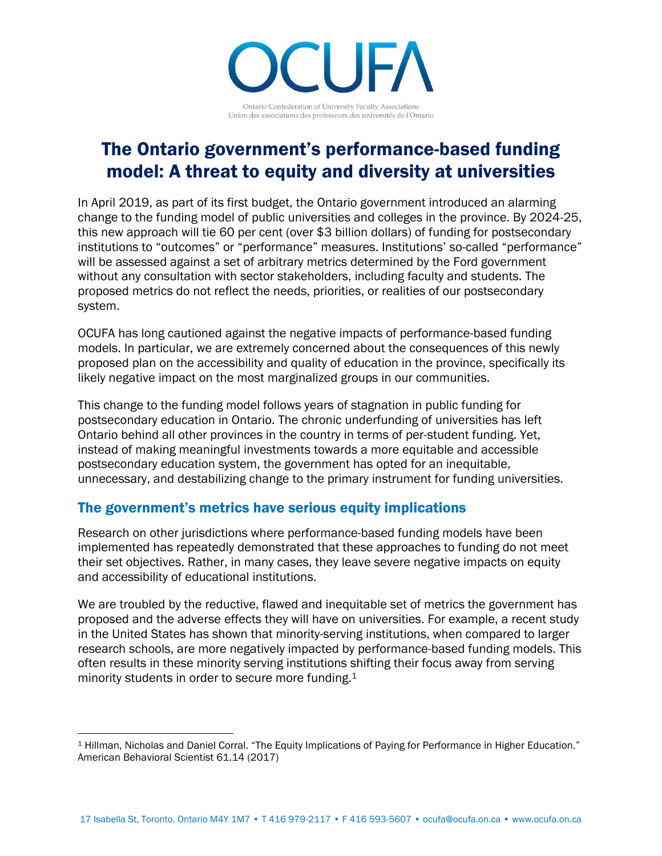TU H Ontario Confederation of University Faculty Associations Union des associations des professeurs des universités de l'Ontario

## The Ontario government's performance-based funding model: A threat to equity and diversity at universities

In April 2019, as part of its first budget, the Ontario government introduced an alarming change to the funding model of public universities and colleges in the province. By 2024-25, this new approach will tie 60 per cent (over \$3 billion dollars) of funding for postsecondary institutions to "outcomes" or "performance" measures. Institutions' so-called "performance" will be assessed against a set of arbitrary metrics determined by the Ford government without any consultation with sector stakeholders, including faculty and students. The proposed metrics do not reflect the needs, priorities, or realities of our postsecondary system.

OCUFA has long cautioned against the negative impacts of performance-based funding models. In particular, we are extremely concerned about the consequences of this newly proposed plan on the accessibility and quality of education in the province, specifically its likely negative impact on the most marginalized groups in our communities.

This change to the funding model follows years of stagnation in public funding for postsecondary education in Ontario. The chronic underfunding of universities has left Ontario behind all other provinces in the country in terms of per-student funding. Yet, instead of making meaningful investments towards a more equitable and accessible postsecondary education system, the government has opted for an inequitable, unnecessary, and destabilizing change to the primary instrument for funding universities.

## The government's metrics have serious equity implications

Research on other jurisdictions where performance-based funding models have been implemented has repeatedly demonstrated that these approaches to funding do not meet their set objectives. Rather, in many cases, they leave severe negative impacts on equity and accessibility of educational institutions.

We are troubled by the reductive, flawed and inequitable set of metrics the government has proposed and the adverse effects they will have on universities. For example, a recent study in the United States has shown that minority-serving institutions, when compared to larger research schools, are more negatively impacted by performance-based funding models. This often results in these minority serving institutions shifting their focus away from serving minority students in order to secure more funding.<sup>1</sup>

 $\overline{a}$ <sup>1</sup> Hillman, Nicholas and Daniel Corral. "The Equity Implications of Paying for Performance in Higher Education." American Behavioral Scientist 61.14 (2017)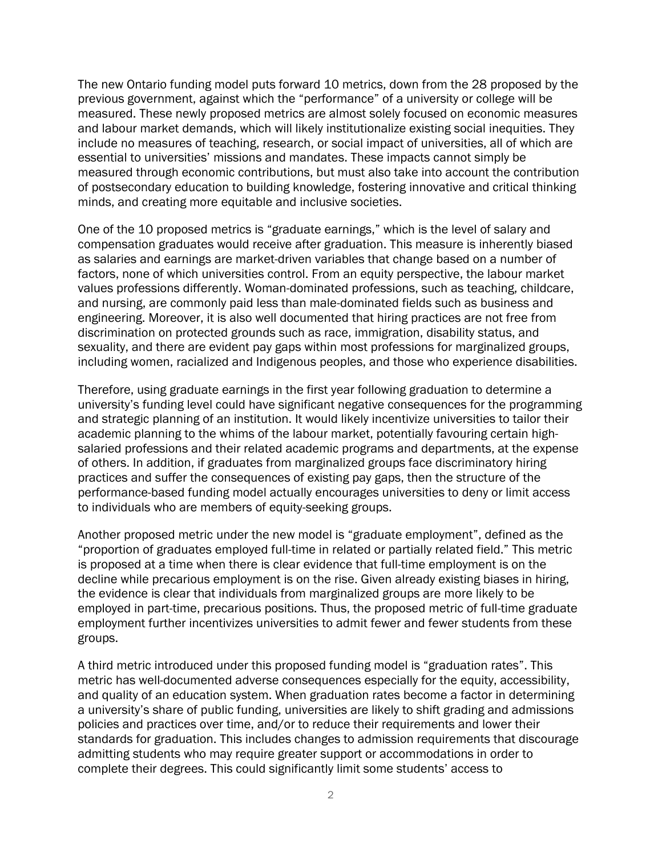The new Ontario funding model puts forward 10 metrics, down from the 28 proposed by the previous government, against which the "performance" of a university or college will be measured. These newly proposed metrics are almost solely focused on economic measures and labour market demands, which will likely institutionalize existing social inequities. They include no measures of teaching, research, or social impact of universities, all of which are essential to universities' missions and mandates. These impacts cannot simply be measured through economic contributions, but must also take into account the contribution of postsecondary education to building knowledge, fostering innovative and critical thinking minds, and creating more equitable and inclusive societies.

One of the 10 proposed metrics is "graduate earnings," which is the level of salary and compensation graduates would receive after graduation. This measure is inherently biased as salaries and earnings are market-driven variables that change based on a number of factors, none of which universities control. From an equity perspective, the labour market values professions differently. Woman-dominated professions, such as teaching, childcare, and nursing, are commonly paid less than male-dominated fields such as business and engineering. Moreover, it is also well documented that hiring practices are not free from discrimination on protected grounds such as race, immigration, disability status, and sexuality, and there are evident pay gaps within most professions for marginalized groups, including women, racialized and Indigenous peoples, and those who experience disabilities.

Therefore, using graduate earnings in the first year following graduation to determine a university's funding level could have significant negative consequences for the programming and strategic planning of an institution. It would likely incentivize universities to tailor their academic planning to the whims of the labour market, potentially favouring certain highsalaried professions and their related academic programs and departments, at the expense of others. In addition, if graduates from marginalized groups face discriminatory hiring practices and suffer the consequences of existing pay gaps, then the structure of the performance-based funding model actually encourages universities to deny or limit access to individuals who are members of equity-seeking groups.

Another proposed metric under the new model is "graduate employment", defined as the "proportion of graduates employed full-time in related or partially related field." This metric is proposed at a time when there is clear evidence that full-time employment is on the decline while precarious employment is on the rise. Given already existing biases in hiring, the evidence is clear that individuals from marginalized groups are more likely to be employed in part-time, precarious positions. Thus, the proposed metric of full-time graduate employment further incentivizes universities to admit fewer and fewer students from these groups.

A third metric introduced under this proposed funding model is "graduation rates". This metric has well-documented adverse consequences especially for the equity, accessibility, and quality of an education system. When graduation rates become a factor in determining a university's share of public funding, universities are likely to shift grading and admissions policies and practices over time, and/or to reduce their requirements and lower their standards for graduation. This includes changes to admission requirements that discourage admitting students who may require greater support or accommodations in order to complete their degrees. This could significantly limit some students' access to